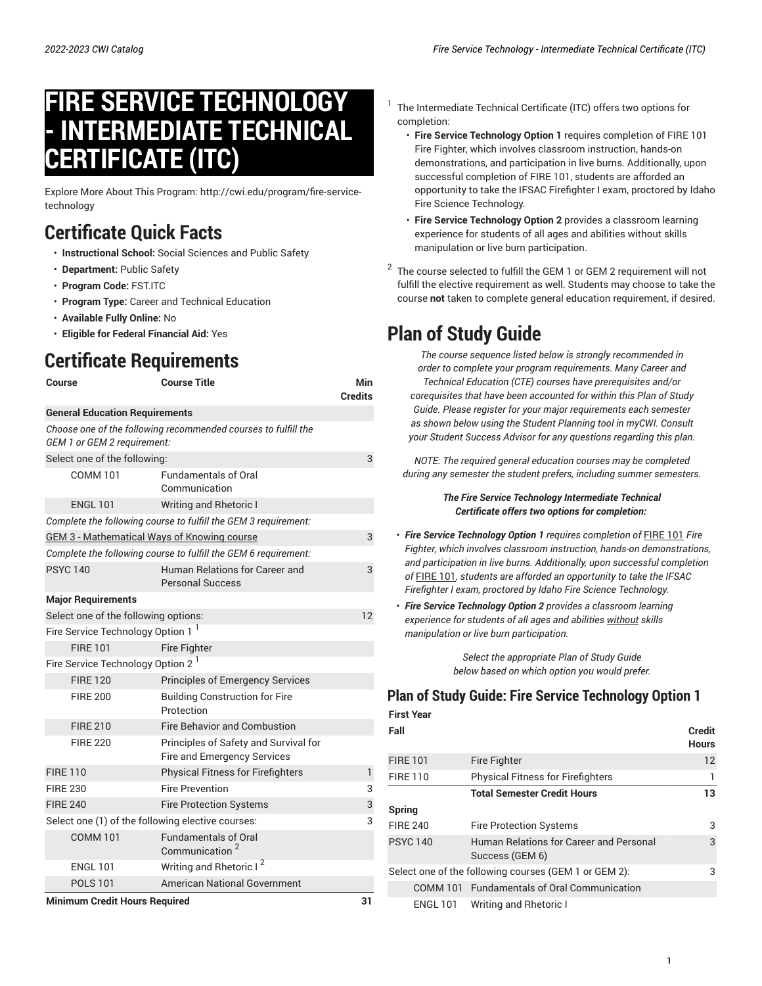# **FIRE SERVICE TECHNOLOGY - INTERMEDIATE TECHNICAL CERTIFICATE (ITC)**

Explore More About This Program: http://cwi.edu/program/fire-servicetechnology

# **Certificate Quick Facts**

- **Instructional School:** Social Sciences and Public Safety
- **Department:** Public Safety
- **Program Code:** FST.ITC
- **Program Type:** Career and Technical Education
- **Available Fully Online:** No
- **Eligible for Federal Financial Aid:** Yes

### **Certificate Requirements**

| Course                                            | <b>Course Title</b>                                                  | Min<br><b>Credits</b> |
|---------------------------------------------------|----------------------------------------------------------------------|-----------------------|
| <b>General Education Requirements</b>             |                                                                      |                       |
| GEM 1 or GEM 2 requirement:                       | Choose one of the following recommended courses to fulfill the       |                       |
| Select one of the following:                      | 3                                                                    |                       |
| <b>COMM 101</b>                                   | <b>Fundamentals of Oral</b><br>Communication                         |                       |
| <b>ENGL 101</b>                                   | <b>Writing and Rhetoric I</b>                                        |                       |
|                                                   | Complete the following course to fulfill the GEM 3 requirement:      |                       |
|                                                   | <b>GEM 3 - Mathematical Ways of Knowing course</b>                   | 3                     |
|                                                   | Complete the following course to fulfill the GEM 6 requirement:      |                       |
| <b>PSYC 140</b>                                   | Human Relations for Career and<br><b>Personal Success</b>            | 3                     |
| <b>Major Requirements</b>                         |                                                                      |                       |
| Select one of the following options:              |                                                                      | 12                    |
| Fire Service Technology Option 1                  |                                                                      |                       |
| <b>FIRE 101</b>                                   | <b>Fire Fighter</b>                                                  |                       |
| Fire Service Technology Option 2 <sup>1</sup>     |                                                                      |                       |
| <b>FIRE 120</b>                                   | <b>Principles of Emergency Services</b>                              |                       |
| <b>FIRE 200</b>                                   | <b>Building Construction for Fire</b><br>Protection                  |                       |
| <b>FIRE 210</b>                                   | <b>Fire Behavior and Combustion</b>                                  |                       |
| <b>FIRE 220</b>                                   | Principles of Safety and Survival for<br>Fire and Emergency Services |                       |
| <b>FIRE 110</b>                                   | <b>Physical Fitness for Firefighters</b>                             | 1                     |
| <b>FIRE 230</b>                                   | <b>Fire Prevention</b>                                               | 3                     |
| <b>FIRE 240</b>                                   | <b>Fire Protection Systems</b>                                       | 3                     |
| Select one (1) of the following elective courses: |                                                                      | 3                     |
| <b>COMM 101</b>                                   | <b>Fundamentals of Oral</b><br>Communication <sup>2</sup>            |                       |
| <b>ENGL 101</b>                                   | Writing and Rhetoric I <sup>2</sup>                                  |                       |
| <b>POLS 101</b>                                   | <b>American National Government</b>                                  |                       |
| <b>Minimum Credit Hours Required</b>              |                                                                      | 31                    |

- The Intermediate Technical Certificate (ITC) offers two options for completion:
- **Fire Service Technology Option 1** requires completion of FIRE 101 Fire Fighter, which involves classroom instruction, hands-on demonstrations, and participation in live burns. Additionally, upon successful completion of FIRE 101, students are afforded an opportunity to take the IFSAC Firefighter I exam, proctored by Idaho Fire Science Technology.
- **Fire Service Technology Option 2** provides a classroom learning experience for students of all ages and abilities without skills manipulation or live burn participation.
- $^2\,$  The course selected to fulfill the GEM 1 or GEM 2 requirement will not fulfill the elective requirement as well. Students may choose to take the course **not** taken to complete general education requirement, if desired.

## **Plan of Study Guide**

1

*The course sequence listed below is strongly recommended in order to complete your program requirements. Many Career and Technical Education (CTE) courses have prerequisites and/or corequisites that have been accounted for within this Plan of Study Guide. Please register for your major requirements each semester as shown below using the Student Planning tool in myCWI. Consult your Student Success Advisor for any questions regarding this plan.*

*NOTE: The required general education courses may be completed during any semester the student prefers, including summer semesters.*

#### *The Fire Service Technology Intermediate Technical Certificate offers two options for completion:*

- *Fire Service Technology Option 1 requires completion of* [FIRE 101](/search/?P=FIRE%20101) *Fire Fighter, which involves classroom instruction, hands-on demonstrations, and participation in live burns. Additionally, upon successful completion of* [FIRE 101](/search/?P=FIRE%20101)*, students are afforded an opportunity to take the IFSAC Firefighter I exam, proctored by Idaho Fire Science Technology.*
- *Fire Service Technology Option 2 provides a classroom learning experience for students of all ages and abilities without skills manipulation or live burn participation.*

*Select the appropriate Plan of Study Guide below based on which option you would prefer.*

#### **Plan of Study Guide: Fire Service Technology Option 1 First Year**

| і пэстеат       |                                                            |                               |
|-----------------|------------------------------------------------------------|-------------------------------|
| Fall            |                                                            | <b>Credit</b><br><b>Hours</b> |
| <b>FIRE 101</b> | <b>Fire Fighter</b>                                        | 12                            |
| <b>FIRE 110</b> | <b>Physical Fitness for Firefighters</b>                   | 1                             |
|                 | <b>Total Semester Credit Hours</b>                         | 13                            |
| Spring          |                                                            |                               |
| <b>FIRE 240</b> | <b>Fire Protection Systems</b>                             | 3                             |
| <b>PSYC140</b>  | Human Relations for Career and Personal<br>Success (GEM 6) | 3                             |
|                 | Select one of the following courses (GEM 1 or GEM 2):      | 3                             |
|                 | COMM 101 Fundamentals of Oral Communication                |                               |
| ENGL 101        | Writing and Rhetoric I                                     |                               |